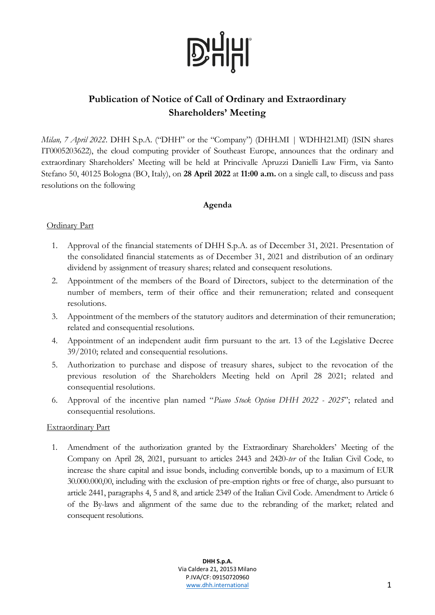

### **Publication of Notice of Call of Ordinary and Extraordinary Shareholders' Meeting**

*Milan, 7 April 2022*. DHH S.p.A. ("DHH" or the "Company") (DHH.MI | WDHH21.MI) (ISIN shares IT0005203622), the cloud computing provider of Southeast Europe, announces that the ordinary and extraordinary Shareholders' Meeting will be held at Princivalle Apruzzi Danielli Law Firm, via Santo Stefano 50, 40125 Bologna (BO, Italy), on **28 April 2022** at **11:00 a.m.** on a single call, to discuss and pass resolutions on the following

### **Agenda**

### Ordinary Part

- 1. Approval of the financial statements of DHH S.p.A. as of December 31, 2021. Presentation of the consolidated financial statements as of December 31, 2021 and distribution of an ordinary dividend by assignment of treasury shares; related and consequent resolutions.
- 2. Appointment of the members of the Board of Directors, subject to the determination of the number of members, term of their office and their remuneration; related and consequent resolutions.
- 3. Appointment of the members of the statutory auditors and determination of their remuneration; related and consequential resolutions.
- 4. Appointment of an independent audit firm pursuant to the art. 13 of the Legislative Decree 39/2010; related and consequential resolutions.
- 5. Authorization to purchase and dispose of treasury shares, subject to the revocation of the previous resolution of the Shareholders Meeting held on April 28 2021; related and consequential resolutions.
- 6. Approval of the incentive plan named "*Piano Stock Option DHH 2022 - 2025*"; related and consequential resolutions.

### Extraordinary Part

1. Amendment of the authorization granted by the Extraordinary Shareholders' Meeting of the Company on April 28, 2021, pursuant to articles 2443 and 2420-*ter* of the Italian Civil Code, to increase the share capital and issue bonds, including convertible bonds, up to a maximum of EUR 30.000.000,00, including with the exclusion of pre-emption rights or free of charge, also pursuant to article 2441, paragraphs 4, 5 and 8, and article 2349 of the Italian Civil Code. Amendment to Article 6 of the By-laws and alignment of the same due to the rebranding of the market; related and consequent resolutions.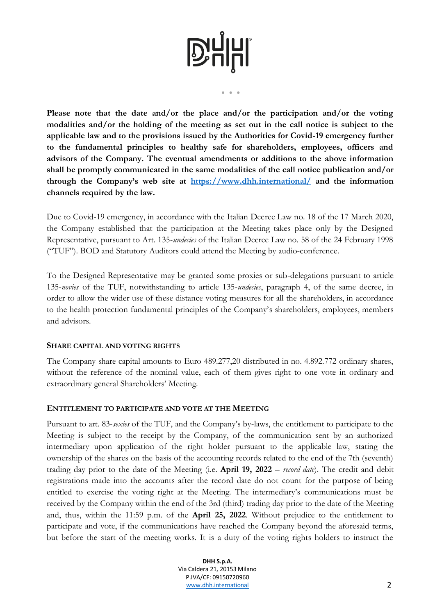● ● ●

**Please note that the date and/or the place and/or the participation and/or the voting modalities and/or the holding of the meeting as set out in the call notice is subject to the applicable law and to the provisions issued by the Authorities for Covid-19 emergency further to the fundamental principles to healthy safe for shareholders, employees, officers and advisors of the Company. The eventual amendments or additions to the above information shall be promptly communicated in the same modalities of the call notice publication and/or through the Company's web site at <https://www.dhh.international/> and the information channels required by the law.**

Due to Covid-19 emergency, in accordance with the Italian Decree Law no. 18 of the 17 March 2020, the Company established that the participation at the Meeting takes place only by the Designed Representative, pursuant to Art. 135-*undecies* of the Italian Decree Law no. 58 of the 24 February 1998 ("TUF"). BOD and Statutory Auditors could attend the Meeting by audio-conference.

To the Designed Representative may be granted some proxies or sub-delegations pursuant to article 135-*novies* of the TUF, notwithstanding to article 135-*undecies*, paragraph 4, of the same decree, in order to allow the wider use of these distance voting measures for all the shareholders, in accordance to the health protection fundamental principles of the Company's shareholders, employees, members and advisors.

### **SHARE CAPITAL AND VOTING RIGHTS**

The Company share capital amounts to Euro 489.277,20 distributed in no. 4.892.772 ordinary shares, without the reference of the nominal value, each of them gives right to one vote in ordinary and extraordinary general Shareholders' Meeting.

### **ENTITLEMENT TO PARTICIPATE AND VOTE AT THE MEETING**

Pursuant to art. 83-*sexies* of the TUF, and the Company's by-laws, the entitlement to participate to the Meeting is subject to the receipt by the Company, of the communication sent by an authorized intermediary upon application of the right holder pursuant to the applicable law, stating the ownership of the shares on the basis of the accounting records related to the end of the 7th (seventh) trading day prior to the date of the Meeting (i.e. **April 19, 2022** – *record date*). The credit and debit registrations made into the accounts after the record date do not count for the purpose of being entitled to exercise the voting right at the Meeting. The intermediary's communications must be received by the Company within the end of the 3rd (third) trading day prior to the date of the Meeting and, thus, within the 11:59 p.m. of the **April 25, 2022**. Without prejudice to the entitlement to participate and vote, if the communications have reached the Company beyond the aforesaid terms, but before the start of the meeting works. It is a duty of the voting rights holders to instruct the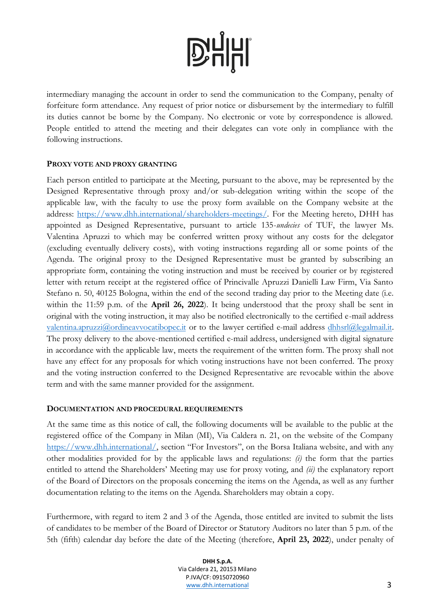intermediary managing the account in order to send the communication to the Company, penalty of forfeiture form attendance. Any request of prior notice or disbursement by the intermediary to fulfill its duties cannot be borne by the Company. No electronic or vote by correspondence is allowed. People entitled to attend the meeting and their delegates can vote only in compliance with the following instructions.

### **PROXY VOTE AND PROXY GRANTING**

Each person entitled to participate at the Meeting, pursuant to the above, may be represented by the Designed Representative through proxy and/or sub-delegation writing within the scope of the applicable law, with the faculty to use the proxy form available on the Company website at the address: [https://www.dhh.international/shareholders-meetings/.](https://www.dhh.international/shareholders-meetings/) For the Meeting hereto, DHH has appointed as Designed Representative, pursuant to article 135-*undecies* of TUF, the lawyer Ms. Valentina Apruzzi to which may be conferred written proxy without any costs for the delegator (excluding eventually delivery costs), with voting instructions regarding all or some points of the Agenda. The original proxy to the Designed Representative must be granted by subscribing an appropriate form, containing the voting instruction and must be received by courier or by registered letter with return receipt at the registered office of Princivalle Apruzzi Danielli Law Firm, Via Santo Stefano n. 50, 40125 Bologna, within the end of the second trading day prior to the Meeting date (i.e. within the 11:59 p.m. of the **April 26, 2022**). It being understood that the proxy shall be sent in original with the voting instruction, it may also be notified electronically to the certified e-mail address [valentina.apruzzi@ordineavvocatibopec.it](mailto:valentina.apruzzi@ordineavvocatibopec.it) or to the lawyer certified e-mail address [dhhsrl@legalmail.it.](mailto:dhhsrl@legalmail.it) The proxy delivery to the above-mentioned certified e-mail address, undersigned with digital signature in accordance with the applicable law, meets the requirement of the written form. The proxy shall not have any effect for any proposals for which voting instructions have not been conferred. The proxy and the voting instruction conferred to the Designed Representative are revocable within the above term and with the same manner provided for the assignment.

### **DOCUMENTATION AND PROCEDURAL REQUIREMENTS**

At the same time as this notice of call, the following documents will be available to the public at the registered office of the Company in Milan (MI), Via Caldera n. 21, on the website of the Company [https://www.dhh.international/,](https://www.dhh.international/) section "For Investors", on the Borsa Italiana website, and with any other modalities provided for by the applicable laws and regulations: *(i)* the form that the parties entitled to attend the Shareholders' Meeting may use for proxy voting, and *(ii)* the explanatory report of the Board of Directors on the proposals concerning the items on the Agenda, as well as any further documentation relating to the items on the Agenda. Shareholders may obtain a copy.

Furthermore, with regard to item 2 and 3 of the Agenda, those entitled are invited to submit the lists of candidates to be member of the Board of Director or Statutory Auditors no later than 5 p.m. of the 5th (fifth) calendar day before the date of the Meeting (therefore, **April 23, 2022**), under penalty of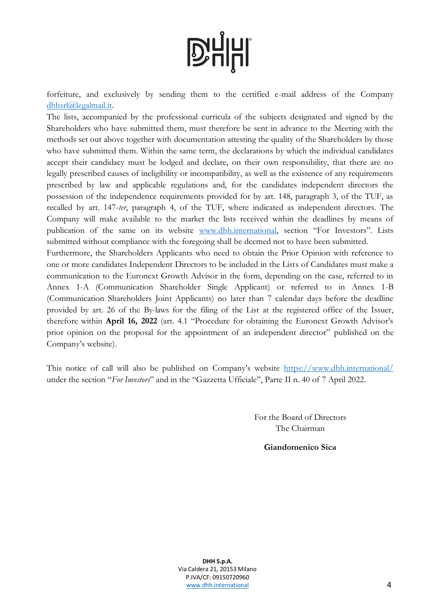forfeiture, and exclusively by sending them to the certified e-mail address of the Company [dhhsrl@legalmail.it.](mailto:dhhsrl@legalmail.it)

The lists, accompanied by the professional curricula of the subjects designated and signed by the Shareholders who have submitted them, must therefore be sent in advance to the Meeting with the methods set out above together with documentation attesting the quality of the Shareholders by those who have submitted them. Within the same term, the declarations by which the individual candidates accept their candidacy must be lodged and declare, on their own responsibility, that there are no legally prescribed causes of ineligibility or incompatibility, as well as the existence of any requirements prescribed by law and applicable regulations and, for the candidates independent directors the possession of the independence requirements provided for by art. 148, paragraph 3, of the TUF, as recalled by art. 147-*ter*, paragraph 4, of the TUF, where indicated as independent directors. The Company will make available to the market the lists received within the deadlines by means of publication of the same on its website [www.dhh.international,](http://www.dhh.international/) section "For Investors". Lists submitted without compliance with the foregoing shall be deemed not to have been submitted.

Furthermore, the Shareholders Applicants who need to obtain the Prior Opinion with reference to one or more candidates Independent Directors to be included in the Lists of Candidates must make a communication to the Euronext Growth Advisor in the form, depending on the case, referred to in Annex 1-A (Communication Shareholder Single Applicant) or referred to in Annex 1-B (Communication Shareholders Joint Applicants) no later than 7 calendar days before the deadline provided by art. 26 of the By-laws for the filing of the List at the registered office of the Issuer, therefore within **April 16, 2022** (art. 4.1 "Procedure for obtaining the Euronext Growth Advisor's prior opinion on the proposal for the appointment of an independent director" published on the Company's website).

This notice of call will also be published on Company's website <https://www.dhh.international/> under the section "*For Investors*" and in the "Gazzetta Ufficiale", Parte II n. 40 of 7 April 2022.

> For the Board of Directors The Chairman

> > **Giandomenico Sica**